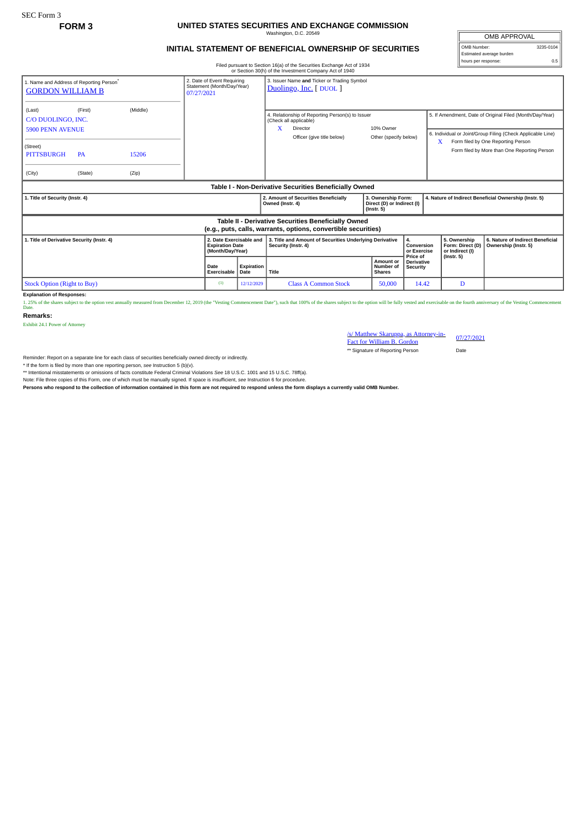## **FORM 3 UNITED STATES SECURITIES AND EXCHANGE COMMISSION** Washington, D.C. 20549

## **INITIAL STATEMENT OF BENEFICIAL OWNERSHIP OF SECURITIES**

OMB Number: 3235-0104 Estimated average burden hours per response: 0.5

OMB APPROVAL

Filed pursuant to Section 16(a) of the Securities Exchange Act of 1934

|                                                                                 |           |          |                                                                                                                                                |                    | or Section 30(h) of the Investment Company Act of 1940                                                                    |                                         |                                                                                                                               |                                                     |                                                                                                                                                               |
|---------------------------------------------------------------------------------|-----------|----------|------------------------------------------------------------------------------------------------------------------------------------------------|--------------------|---------------------------------------------------------------------------------------------------------------------------|-----------------------------------------|-------------------------------------------------------------------------------------------------------------------------------|-----------------------------------------------------|---------------------------------------------------------------------------------------------------------------------------------------------------------------|
| 1. Name and Address of Reporting Person <sup>®</sup><br><b>GORDON WILLIAM B</b> |           |          | 3. Issuer Name and Ticker or Trading Symbol<br>2. Date of Event Requiring<br>Statement (Month/Day/Year)<br>Duolingo, Inc. [DUOL]<br>07/27/2021 |                    |                                                                                                                           |                                         |                                                                                                                               |                                                     |                                                                                                                                                               |
| (Last)<br>C/O DUOLINGO, INC.<br><b>5900 PENN AVENUE</b>                         | (First)   | (Middle) |                                                                                                                                                |                    | 4. Relationship of Reporting Person(s) to Issuer<br>(Check all applicable)<br>X<br>Director<br>Officer (give title below) | 10% Owner<br>Other (specify below)      |                                                                                                                               | X                                                   | 5. If Amendment, Date of Original Filed (Month/Day/Year)<br>6. Individual or Joint/Group Filing (Check Applicable Line)<br>Form filed by One Reporting Person |
| (Street)<br><b>PITTSBURGH</b>                                                   | <b>PA</b> | 15206    |                                                                                                                                                |                    |                                                                                                                           |                                         |                                                                                                                               |                                                     | Form filed by More than One Reporting Person                                                                                                                  |
| (City)                                                                          | (State)   | (Zip)    |                                                                                                                                                |                    |                                                                                                                           |                                         |                                                                                                                               |                                                     |                                                                                                                                                               |
|                                                                                 |           |          |                                                                                                                                                |                    | Table I - Non-Derivative Securities Beneficially Owned                                                                    |                                         |                                                                                                                               |                                                     |                                                                                                                                                               |
| 1. Title of Security (Instr. 4)                                                 |           |          |                                                                                                                                                |                    | 2. Amount of Securities Beneficially                                                                                      |                                         | 3. Ownership Form:<br>4. Nature of Indirect Beneficial Ownership (Instr. 5)<br>Direct (D) or Indirect (I)<br>$($ lnstr. 5 $)$ |                                                     |                                                                                                                                                               |
|                                                                                 |           |          |                                                                                                                                                |                    | Owned (Instr. 4)                                                                                                          |                                         |                                                                                                                               |                                                     |                                                                                                                                                               |
|                                                                                 |           |          |                                                                                                                                                |                    | Table II - Derivative Securities Beneficially Owned<br>(e.g., puts, calls, warrants, options, convertible securities)     |                                         |                                                                                                                               |                                                     |                                                                                                                                                               |
| 1. Title of Derivative Security (Instr. 4)                                      |           |          | 2. Date Exercisable and<br><b>Expiration Date</b><br>(Month/Day/Year)                                                                          |                    | 3. Title and Amount of Securities Underlying Derivative<br>Security (Instr. 4)                                            |                                         | 4.<br>Conversion<br>or Exercise                                                                                               | 5. Ownership<br>Form: Direct (D)<br>or Indirect (I) | 6. Nature of Indirect Beneficial<br>Ownership (Instr. 5)                                                                                                      |
|                                                                                 |           |          | <b>Date</b><br>Exercisable                                                                                                                     | Expiration<br>Date | Title                                                                                                                     | Amount or<br>Number of<br><b>Shares</b> | Price of<br><b>Derivative</b><br>Security                                                                                     | $($ Instr. 5 $)$                                    |                                                                                                                                                               |

**Explanation of Responses:**<br>1. 25% of the shares subject to the option vest annually measured from December 12, 2019 (the "Vesting Commencement Date"), such that 100% of the shares subject to the option will be fully veste

**Remarks:**

Exhibit 24.1 Power of Attorney

/s/ Matthew Skaruppa, as Attorney-in-Fact for William B. Gordon 07/27/2021 \*\* Signature of Reporting Person Date

Reminder: Report on a separate line for each class of securities beneficially owned directly or indirectly.

\* If the form is filed by more than one reporting person, *see* Instruction 5 (b)(v).

\*\* Intentional misstatements or omissions of facts constitute Federal Criminal Violations *See* 18 U.S.C. 1001 and 15 U.S.C. 78ff(a).

Note: File three copies of this Form, one of which must be manually signed. If space is insufficient, *see* Instruction 6 for procedure.

**Persons who respond to the collection of information contained in this form are not required to respond unless the form displays a currently valid OMB Number.**